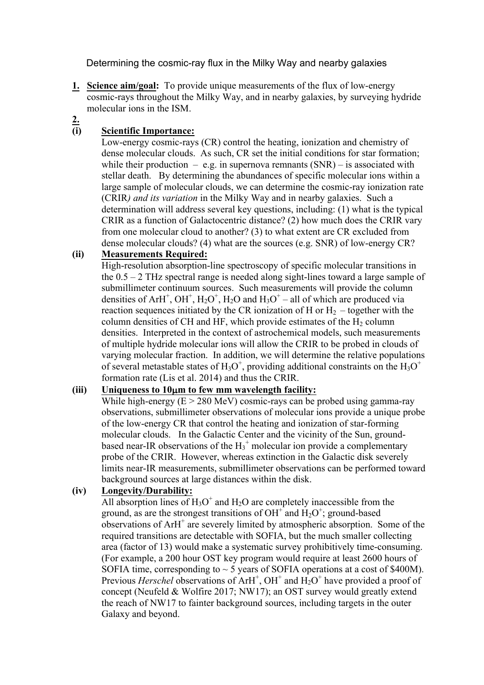Determining the cosmic-ray flux in the Milky Way and nearby galaxies

- **1. Science aim/goal:** To provide unique measurements of the flux of low-energy cosmic-rays throughout the Milky Way, and in nearby galaxies, by surveying hydride molecular ions in the ISM.
- **2.**

# **(i) Scientific Importance:**

Low-energy cosmic-rays (CR) control the heating, ionization and chemistry of dense molecular clouds. As such, CR set the initial conditions for star formation; while their production  $-$  e.g. in supernova remnants (SNR) – is associated with stellar death. By determining the abundances of specific molecular ions within a large sample of molecular clouds, we can determine the cosmic-ray ionization rate (CRIR*) and its variation* in the Milky Way and in nearby galaxies. Such a determination will address several key questions, including: (1) what is the typical CRIR as a function of Galactocentric distance? (2) how much does the CRIR vary from one molecular cloud to another? (3) to what extent are CR excluded from dense molecular clouds? (4) what are the sources (e.g. SNR) of low-energy CR?

## **(ii) Measurements Required:**

High-resolution absorption-line spectroscopy of specific molecular transitions in the  $0.5 - 2$  THz spectral range is needed along sight-lines toward a large sample of submillimeter continuum sources. Such measurements will provide the column densities of ArH<sup>+</sup>, OH<sup>+</sup>, H<sub>2</sub>O<sup>+</sup>, H<sub>2</sub>O and H<sub>3</sub>O<sup>+</sup> – all of which are produced via reaction sequences initiated by the CR ionization of H or  $H_2$  – together with the column densities of CH and HF, which provide estimates of the  $H_2$  column densities. Interpreted in the context of astrochemical models, such measurements of multiple hydride molecular ions will allow the CRIR to be probed in clouds of varying molecular fraction. In addition, we will determine the relative populations of several metastable states of  $H_3O^+$ , providing additional constraints on the  $H_3O^+$ formation rate (Lis et al. 2014) and thus the CRIR.

## **(iii) Uniqueness to 10**µ**m to few mm wavelength facility:**

While high-energy  $(E > 280 \text{ MeV})$  cosmic-rays can be probed using gamma-ray observations, submillimeter observations of molecular ions provide a unique probe of the low-energy CR that control the heating and ionization of star-forming molecular clouds. In the Galactic Center and the vicinity of the Sun, groundbased near-IR observations of the  $H_3$ <sup>+</sup> molecular ion provide a complementary probe of the CRIR. However, whereas extinction in the Galactic disk severely limits near-IR measurements, submillimeter observations can be performed toward background sources at large distances within the disk.

## **(iv) Longevity/Durability:**

All absorption lines of  $H_3O^+$  and  $H_2O$  are completely inaccessible from the ground, as are the strongest transitions of  $OH<sup>+</sup>$  and  $H<sub>2</sub>O<sup>+</sup>$ ; ground-based observations of  $ArH^+$  are severely limited by atmospheric absorption. Some of the required transitions are detectable with SOFIA, but the much smaller collecting area (factor of 13) would make a systematic survey prohibitively time-consuming. (For example, a 200 hour OST key program would require at least 2600 hours of SOFIA time, corresponding to  $\sim$  5 years of SOFIA operations at a cost of \$400M). Previous *Herschel* observations of ArH<sup>+</sup>, OH<sup>+</sup> and H<sub>2</sub>O<sup>+</sup> have provided a proof of concept (Neufeld & Wolfire 2017; NW17); an OST survey would greatly extend the reach of NW17 to fainter background sources, including targets in the outer Galaxy and beyond.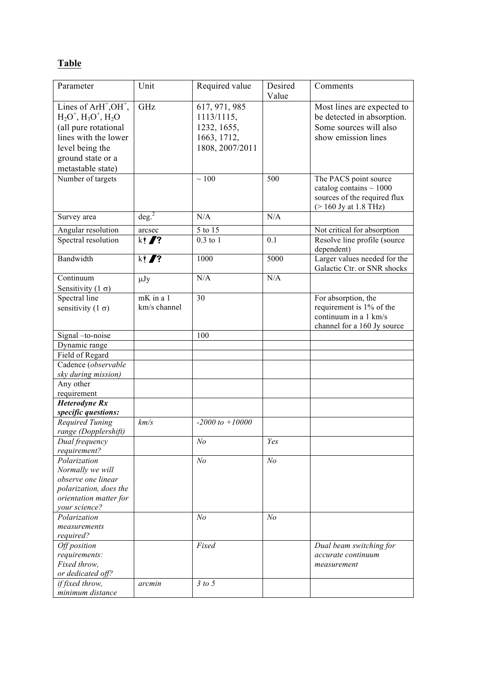# **Table**

| Parameter                                   | Unit            | Required value      | Desired        | Comments                                                                                                          |
|---------------------------------------------|-----------------|---------------------|----------------|-------------------------------------------------------------------------------------------------------------------|
| Lines of $ArH^+$ , $OH^+$ ,                 | GHz             | 617, 971, 985       | Value          | Most lines are expected to                                                                                        |
| $H_2O^+$ , $H_3O^+$ , $H_2O$                |                 | 1113/1115,          |                | be detected in absorption.                                                                                        |
| (all pure rotational                        |                 | 1232, 1655,         |                | Some sources will also                                                                                            |
| lines with the lower                        |                 | 1663, 1712,         |                | show emission lines                                                                                               |
|                                             |                 |                     |                |                                                                                                                   |
| level being the                             |                 | 1808, 2007/2011     |                |                                                                                                                   |
| ground state or a                           |                 |                     |                |                                                                                                                   |
| metastable state)                           |                 |                     |                |                                                                                                                   |
| Number of targets                           |                 | $\sim 100$          | 500            | The PACS point source<br>catalog contains $\sim 1000$<br>sources of the required flux<br>$($ > 160 Jy at 1.8 THz) |
| Survey area                                 | $\text{deg.}^2$ | N/A                 | N/A            |                                                                                                                   |
| Angular resolution                          | arcsec          | 5 to 15             |                | Not critical for absorption                                                                                       |
| Spectral resolution                         | $k!$ /?         | $0.3$ to $1$        | 0.1            | Resolve line profile (source                                                                                      |
|                                             |                 |                     |                | dependent)                                                                                                        |
| Bandwidth                                   | $k!$ /?         | 1000                | 5000           | Larger values needed for the<br>Galactic Ctr. or SNR shocks                                                       |
| Continuum                                   | $\mu$ Jy        | N/A                 | N/A            |                                                                                                                   |
| Sensitivity (1 $\sigma$ )                   |                 |                     |                |                                                                                                                   |
| Spectral line                               | $mK$ in a 1     | 30                  |                | For absorption, the                                                                                               |
| sensitivity (1 $\sigma$ )                   | km/s channel    |                     |                | requirement is 1% of the                                                                                          |
|                                             |                 |                     |                | continuum in a 1 km/s                                                                                             |
|                                             |                 |                     |                | channel for a 160 Jy source                                                                                       |
| Signal -to-noise                            |                 | 100                 |                |                                                                                                                   |
| Dynamic range                               |                 |                     |                |                                                                                                                   |
| Field of Regard                             |                 |                     |                |                                                                                                                   |
| Cadence (observable                         |                 |                     |                |                                                                                                                   |
| sky during mission)                         |                 |                     |                |                                                                                                                   |
| Any other                                   |                 |                     |                |                                                                                                                   |
| requirement                                 |                 |                     |                |                                                                                                                   |
| <b>Heterodyne Rx</b><br>specific questions: |                 |                     |                |                                                                                                                   |
| Required Tuning                             | km/s            | $-2000$ to $+10000$ |                |                                                                                                                   |
| range (Dopplershift)                        |                 |                     |                |                                                                                                                   |
| Dual frequency                              |                 | N <sub>o</sub>      | Yes            |                                                                                                                   |
| requirement?                                |                 |                     |                |                                                                                                                   |
| Polarization                                |                 | N <sub>o</sub>      | N <sub>o</sub> |                                                                                                                   |
| Normally we will                            |                 |                     |                |                                                                                                                   |
| observe one linear                          |                 |                     |                |                                                                                                                   |
| polarization, does the                      |                 |                     |                |                                                                                                                   |
| orientation matter for                      |                 |                     |                |                                                                                                                   |
| your science?                               |                 |                     |                |                                                                                                                   |
| Polarization                                |                 | N <sub>o</sub>      | N <sub>o</sub> |                                                                                                                   |
| measurements                                |                 |                     |                |                                                                                                                   |
| required?                                   |                 |                     |                |                                                                                                                   |
| Off position                                |                 | Fixed               |                | Dual beam switching for                                                                                           |
| requirements:                               |                 |                     |                | <i>accurate continuum</i>                                                                                         |
| Fixed throw,                                |                 |                     |                | measurement                                                                                                       |
| or dedicated off?                           |                 |                     |                |                                                                                                                   |
| if fixed throw,                             | arcmin          | 3 to 5              |                |                                                                                                                   |
| minimum distance                            |                 |                     |                |                                                                                                                   |